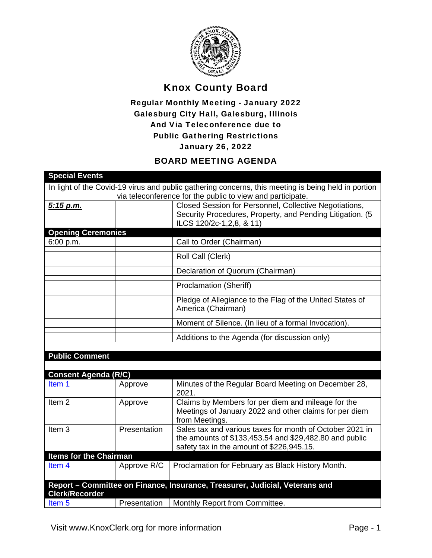

## Knox County Board

## Regular Monthly Meeting - January 2022 Galesburg City Hall, Galesburg, Illinois And Via Teleconference due to Public Gathering Restrictions January 26, 2022

## BOARD MEETING AGENDA

| <b>Special Events</b>         |              |                                                                                                                                                                 |
|-------------------------------|--------------|-----------------------------------------------------------------------------------------------------------------------------------------------------------------|
|                               |              | In light of the Covid-19 virus and public gathering concerns, this meeting is being held in portion                                                             |
|                               |              | via teleconference for the public to view and participate.                                                                                                      |
| 5:15 p.m.                     |              | Closed Session for Personnel, Collective Negotiations,<br>Security Procedures, Property, and Pending Litigation. (5                                             |
|                               |              | ILCS 120/2c-1, 2, 8, & 11)                                                                                                                                      |
| <b>Opening Ceremonies</b>     |              |                                                                                                                                                                 |
| 6:00 p.m.                     |              | Call to Order (Chairman)                                                                                                                                        |
|                               |              | Roll Call (Clerk)                                                                                                                                               |
|                               |              | Declaration of Quorum (Chairman)                                                                                                                                |
|                               |              | <b>Proclamation (Sheriff)</b>                                                                                                                                   |
|                               |              | Pledge of Allegiance to the Flag of the United States of<br>America (Chairman)                                                                                  |
|                               |              | Moment of Silence. (In lieu of a formal Invocation).                                                                                                            |
|                               |              | Additions to the Agenda (for discussion only)                                                                                                                   |
|                               |              |                                                                                                                                                                 |
| <b>Public Comment</b>         |              |                                                                                                                                                                 |
|                               |              |                                                                                                                                                                 |
| <b>Consent Agenda (R/C)</b>   |              |                                                                                                                                                                 |
| Item 1                        | Approve      | Minutes of the Regular Board Meeting on December 28,<br>2021.                                                                                                   |
| Item <sub>2</sub>             | Approve      | Claims by Members for per diem and mileage for the<br>Meetings of January 2022 and other claims for per diem<br>from Meetings.                                  |
| Item <sub>3</sub>             | Presentation | Sales tax and various taxes for month of October 2021 in<br>the amounts of \$133,453.54 and \$29,482.80 and public<br>safety tax in the amount of \$226,945.15. |
| <b>Items for the Chairman</b> |              |                                                                                                                                                                 |
| Item 4                        | Approve R/C  | Proclamation for February as Black History Month.                                                                                                               |
|                               |              |                                                                                                                                                                 |
| <b>Clerk/Recorder</b>         |              | Report - Committee on Finance, Insurance, Treasurer, Judicial, Veterans and                                                                                     |
| Item <sub>5</sub>             | Presentation | Monthly Report from Committee.                                                                                                                                  |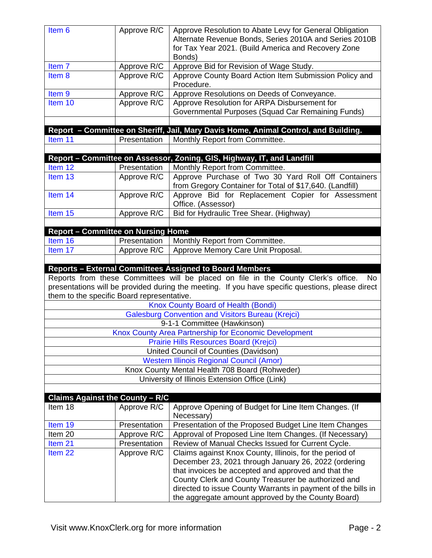| Approve Resolution to Abate Levy for General Obligation<br>Item 6<br>Approve R/C<br>Alternate Revenue Bonds, Series 2010A and Series 2010B<br>for Tax Year 2021. (Build America and Recovery Zone<br>Bonds)<br>Approve Bid for Revision of Wage Study.<br>Item <sub>7</sub><br>Approve R/C<br>Approve R/C<br>Approve County Board Action Item Submission Policy and<br>Item <sub>8</sub><br>Procedure.<br>Approve Resolutions on Deeds of Conveyance.<br>Item <sub>9</sub><br>Approve R/C<br>Approve Resolution for ARPA Disbursement for<br>Item 10<br>Approve R/C<br>Governmental Purposes (Squad Car Remaining Funds)<br>Report - Committee on Sheriff, Jail, Mary Davis Home, Animal Control, and Building.<br>Presentation<br>Monthly Report from Committee.<br>Item 11<br>Report - Committee on Assessor, Zoning, GIS, Highway, IT, and Landfill<br>Monthly Report from Committee.<br>Item 12<br>Presentation<br>Approve Purchase of Two 30 Yard Roll Off Containers<br>Item 13<br>Approve R/C<br>from Gregory Container for Total of \$17,640. (Landfill)<br>Approve Bid for Replacement Copier for Assessment<br>Item 14<br>Approve R/C<br>Office. (Assessor)<br>Item 15<br>Bid for Hydraulic Tree Shear. (Highway)<br>Approve R/C<br><b>Report - Committee on Nursing Home</b><br>Presentation<br>Monthly Report from Committee.<br>Item 16<br>Approve Memory Care Unit Proposal.<br>Item 17<br>Approve R/C |  |  |  |  |
|----------------------------------------------------------------------------------------------------------------------------------------------------------------------------------------------------------------------------------------------------------------------------------------------------------------------------------------------------------------------------------------------------------------------------------------------------------------------------------------------------------------------------------------------------------------------------------------------------------------------------------------------------------------------------------------------------------------------------------------------------------------------------------------------------------------------------------------------------------------------------------------------------------------------------------------------------------------------------------------------------------------------------------------------------------------------------------------------------------------------------------------------------------------------------------------------------------------------------------------------------------------------------------------------------------------------------------------------------------------------------------------------------------------------|--|--|--|--|
|                                                                                                                                                                                                                                                                                                                                                                                                                                                                                                                                                                                                                                                                                                                                                                                                                                                                                                                                                                                                                                                                                                                                                                                                                                                                                                                                                                                                                      |  |  |  |  |
|                                                                                                                                                                                                                                                                                                                                                                                                                                                                                                                                                                                                                                                                                                                                                                                                                                                                                                                                                                                                                                                                                                                                                                                                                                                                                                                                                                                                                      |  |  |  |  |
|                                                                                                                                                                                                                                                                                                                                                                                                                                                                                                                                                                                                                                                                                                                                                                                                                                                                                                                                                                                                                                                                                                                                                                                                                                                                                                                                                                                                                      |  |  |  |  |
|                                                                                                                                                                                                                                                                                                                                                                                                                                                                                                                                                                                                                                                                                                                                                                                                                                                                                                                                                                                                                                                                                                                                                                                                                                                                                                                                                                                                                      |  |  |  |  |
|                                                                                                                                                                                                                                                                                                                                                                                                                                                                                                                                                                                                                                                                                                                                                                                                                                                                                                                                                                                                                                                                                                                                                                                                                                                                                                                                                                                                                      |  |  |  |  |
|                                                                                                                                                                                                                                                                                                                                                                                                                                                                                                                                                                                                                                                                                                                                                                                                                                                                                                                                                                                                                                                                                                                                                                                                                                                                                                                                                                                                                      |  |  |  |  |
|                                                                                                                                                                                                                                                                                                                                                                                                                                                                                                                                                                                                                                                                                                                                                                                                                                                                                                                                                                                                                                                                                                                                                                                                                                                                                                                                                                                                                      |  |  |  |  |
|                                                                                                                                                                                                                                                                                                                                                                                                                                                                                                                                                                                                                                                                                                                                                                                                                                                                                                                                                                                                                                                                                                                                                                                                                                                                                                                                                                                                                      |  |  |  |  |
|                                                                                                                                                                                                                                                                                                                                                                                                                                                                                                                                                                                                                                                                                                                                                                                                                                                                                                                                                                                                                                                                                                                                                                                                                                                                                                                                                                                                                      |  |  |  |  |
|                                                                                                                                                                                                                                                                                                                                                                                                                                                                                                                                                                                                                                                                                                                                                                                                                                                                                                                                                                                                                                                                                                                                                                                                                                                                                                                                                                                                                      |  |  |  |  |
|                                                                                                                                                                                                                                                                                                                                                                                                                                                                                                                                                                                                                                                                                                                                                                                                                                                                                                                                                                                                                                                                                                                                                                                                                                                                                                                                                                                                                      |  |  |  |  |
|                                                                                                                                                                                                                                                                                                                                                                                                                                                                                                                                                                                                                                                                                                                                                                                                                                                                                                                                                                                                                                                                                                                                                                                                                                                                                                                                                                                                                      |  |  |  |  |
|                                                                                                                                                                                                                                                                                                                                                                                                                                                                                                                                                                                                                                                                                                                                                                                                                                                                                                                                                                                                                                                                                                                                                                                                                                                                                                                                                                                                                      |  |  |  |  |
|                                                                                                                                                                                                                                                                                                                                                                                                                                                                                                                                                                                                                                                                                                                                                                                                                                                                                                                                                                                                                                                                                                                                                                                                                                                                                                                                                                                                                      |  |  |  |  |
|                                                                                                                                                                                                                                                                                                                                                                                                                                                                                                                                                                                                                                                                                                                                                                                                                                                                                                                                                                                                                                                                                                                                                                                                                                                                                                                                                                                                                      |  |  |  |  |
|                                                                                                                                                                                                                                                                                                                                                                                                                                                                                                                                                                                                                                                                                                                                                                                                                                                                                                                                                                                                                                                                                                                                                                                                                                                                                                                                                                                                                      |  |  |  |  |
|                                                                                                                                                                                                                                                                                                                                                                                                                                                                                                                                                                                                                                                                                                                                                                                                                                                                                                                                                                                                                                                                                                                                                                                                                                                                                                                                                                                                                      |  |  |  |  |
|                                                                                                                                                                                                                                                                                                                                                                                                                                                                                                                                                                                                                                                                                                                                                                                                                                                                                                                                                                                                                                                                                                                                                                                                                                                                                                                                                                                                                      |  |  |  |  |
|                                                                                                                                                                                                                                                                                                                                                                                                                                                                                                                                                                                                                                                                                                                                                                                                                                                                                                                                                                                                                                                                                                                                                                                                                                                                                                                                                                                                                      |  |  |  |  |
| <b>Reports - External Committees Assigned to Board Members</b><br>Reports from these Committees will be placed on file in the County Clerk's office.<br>No<br>presentations will be provided during the meeting. If you have specific questions, please direct<br>them to the specific Board representative.                                                                                                                                                                                                                                                                                                                                                                                                                                                                                                                                                                                                                                                                                                                                                                                                                                                                                                                                                                                                                                                                                                         |  |  |  |  |
| Knox County Board of Health (Bondi)                                                                                                                                                                                                                                                                                                                                                                                                                                                                                                                                                                                                                                                                                                                                                                                                                                                                                                                                                                                                                                                                                                                                                                                                                                                                                                                                                                                  |  |  |  |  |
| <b>Galesburg Convention and Visitors Bureau (Krejci)</b>                                                                                                                                                                                                                                                                                                                                                                                                                                                                                                                                                                                                                                                                                                                                                                                                                                                                                                                                                                                                                                                                                                                                                                                                                                                                                                                                                             |  |  |  |  |
| 9-1-1 Committee (Hawkinson)                                                                                                                                                                                                                                                                                                                                                                                                                                                                                                                                                                                                                                                                                                                                                                                                                                                                                                                                                                                                                                                                                                                                                                                                                                                                                                                                                                                          |  |  |  |  |
| Knox County Area Partnership for Economic Development                                                                                                                                                                                                                                                                                                                                                                                                                                                                                                                                                                                                                                                                                                                                                                                                                                                                                                                                                                                                                                                                                                                                                                                                                                                                                                                                                                |  |  |  |  |
| <b>Prairie Hills Resources Board (Krejci)</b>                                                                                                                                                                                                                                                                                                                                                                                                                                                                                                                                                                                                                                                                                                                                                                                                                                                                                                                                                                                                                                                                                                                                                                                                                                                                                                                                                                        |  |  |  |  |
| United Council of Counties (Davidson)                                                                                                                                                                                                                                                                                                                                                                                                                                                                                                                                                                                                                                                                                                                                                                                                                                                                                                                                                                                                                                                                                                                                                                                                                                                                                                                                                                                |  |  |  |  |
| <b>Western Illinois Regional Council (Amor)</b>                                                                                                                                                                                                                                                                                                                                                                                                                                                                                                                                                                                                                                                                                                                                                                                                                                                                                                                                                                                                                                                                                                                                                                                                                                                                                                                                                                      |  |  |  |  |
| Knox County Mental Health 708 Board (Rohweder)                                                                                                                                                                                                                                                                                                                                                                                                                                                                                                                                                                                                                                                                                                                                                                                                                                                                                                                                                                                                                                                                                                                                                                                                                                                                                                                                                                       |  |  |  |  |
| University of Illinois Extension Office (Link)                                                                                                                                                                                                                                                                                                                                                                                                                                                                                                                                                                                                                                                                                                                                                                                                                                                                                                                                                                                                                                                                                                                                                                                                                                                                                                                                                                       |  |  |  |  |
| <b>Claims Against the County - R/C</b>                                                                                                                                                                                                                                                                                                                                                                                                                                                                                                                                                                                                                                                                                                                                                                                                                                                                                                                                                                                                                                                                                                                                                                                                                                                                                                                                                                               |  |  |  |  |
| Approve Opening of Budget for Line Item Changes. (If<br>Approve R/C<br>Item 18<br>Necessary)                                                                                                                                                                                                                                                                                                                                                                                                                                                                                                                                                                                                                                                                                                                                                                                                                                                                                                                                                                                                                                                                                                                                                                                                                                                                                                                         |  |  |  |  |
|                                                                                                                                                                                                                                                                                                                                                                                                                                                                                                                                                                                                                                                                                                                                                                                                                                                                                                                                                                                                                                                                                                                                                                                                                                                                                                                                                                                                                      |  |  |  |  |
| Presentation of the Proposed Budget Line Item Changes<br>Item 19<br>Presentation                                                                                                                                                                                                                                                                                                                                                                                                                                                                                                                                                                                                                                                                                                                                                                                                                                                                                                                                                                                                                                                                                                                                                                                                                                                                                                                                     |  |  |  |  |
| Approval of Proposed Line Item Changes. (If Necessary)<br>Item 20<br>Approve R/C                                                                                                                                                                                                                                                                                                                                                                                                                                                                                                                                                                                                                                                                                                                                                                                                                                                                                                                                                                                                                                                                                                                                                                                                                                                                                                                                     |  |  |  |  |
| Review of Manual Checks Issued for Current Cycle.<br>Presentation<br>Item 21                                                                                                                                                                                                                                                                                                                                                                                                                                                                                                                                                                                                                                                                                                                                                                                                                                                                                                                                                                                                                                                                                                                                                                                                                                                                                                                                         |  |  |  |  |
| Claims against Knox County, Illinois, for the period of<br>Approve R/C<br>Item <sub>22</sub><br>December 23, 2021 through January 26, 2022 (ordering                                                                                                                                                                                                                                                                                                                                                                                                                                                                                                                                                                                                                                                                                                                                                                                                                                                                                                                                                                                                                                                                                                                                                                                                                                                                 |  |  |  |  |